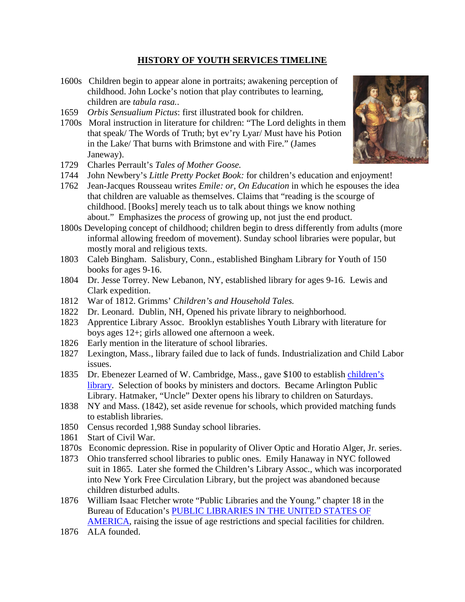## **HISTORY OF YOUTH SERVICES TIMELINE**

- 1600s Children begin to appear alone in portraits; awakening perception of childhood. John Locke's notion that play contributes to learning, children are *tabula rasa.*.
- 1659 *Orbis Sensualium Pictus*: first illustrated book for children.
- 1700s Moral instruction in literature for children: "The Lord delights in them that speak/ The Words of Truth; byt ev'ry Lyar/ Must have his Potion in the Lake/ That burns with Brimstone and with Fire." (James Janeway).
- 1729 Charles Perrault's *Tales of Mother Goose.*
- 1744 John Newbery's *Little Pretty Pocket Book:* for children's education and enjoyment!
- 1762 Jean-Jacques Rousseau writes *Emile: or, On Education* in which he espouses the idea that children are valuable as themselves. Claims that "reading is the scourge of childhood. [Books] merely teach us to talk about things we know nothing about." Emphasizes the *process* of growing up, not just the end product.
- 1800s Developing concept of childhood; children begin to dress differently from adults (more informal allowing freedom of movement). Sunday school libraries were popular, but mostly moral and religious texts.
- 1803 Caleb Bingham. Salisbury, Conn., established Bingham Library for Youth of 150 books for ages 9-16.
- 1804 Dr. Jesse Torrey. New Lebanon, NY, established library for ages 9-16. Lewis and Clark expedition.
- 1812 War of 1812. Grimms' *Children's and Household Tales.*
- 1822 Dr. Leonard. Dublin, NH, Opened his private library to neighborhood.
- 1823 Apprentice Library Assoc. Brooklyn establishes Youth Library with literature for boys ages 12+; girls allowed one afternoon a week.
- 1826 Early mention in the literature of school libraries.
- 1827 Lexington, Mass., library failed due to lack of funds. Industrialization and Child Labor issues.
- 1835 Dr. Ebenezer Learned of W. Cambridge, Mass., gave \$100 to establish [children's](http://www.worldwideschool.org/library/books/socl/education/LibraryWorkwithChildren/chap8.html)  [library.](http://www.worldwideschool.org/library/books/socl/education/LibraryWorkwithChildren/chap8.html) Selection of books by ministers and doctors. Became Arlington Public Library. Hatmaker, "Uncle" Dexter opens his library to children on Saturdays.
- 1838 NY and Mass. (1842), set aside revenue for schools, which provided matching funds to establish libraries.
- 1850 Census recorded 1,988 Sunday school libraries.
- 1861 Start of Civil War.
- 1870s Economic depression. Rise in popularity of Oliver Optic and Horatio Alger, Jr. series.
- 1873 Ohio transferred school libraries to public ones. Emily Hanaway in NYC followed suit in 1865. Later she formed the Children's Library Assoc., which was incorporated into New York Free Circulation Library, but the project was abandoned because children disturbed adults.
- 1876 William Isaac Fletcher wrote "Public Libraries and the Young." chapter 18 in the Bureau of Education's [PUBLIC LIBRARIES IN THE UNITED STATES OF](https://archive.org/stream/publiclibrariesi04unit/publiclibrariesi04unit_djvu.txt)  [AMERICA,](https://archive.org/stream/publiclibrariesi04unit/publiclibrariesi04unit_djvu.txt) raising the issue of age restrictions and special facilities for children.
- 1876 ALA founded.

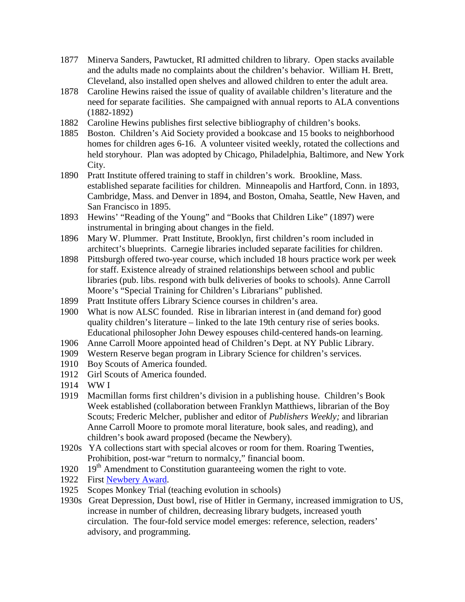- 1877 Minerva Sanders, Pawtucket, RI admitted children to library. Open stacks available and the adults made no complaints about the children's behavior. William H. Brett, Cleveland, also installed open shelves and allowed children to enter the adult area.
- 1878 Caroline Hewins raised the issue of quality of available children's literature and the need for separate facilities. She campaigned with annual reports to ALA conventions (1882-1892)
- 1882 Caroline Hewins publishes first selective bibliography of children's books.
- 1885 Boston. Children's Aid Society provided a bookcase and 15 books to neighborhood homes for children ages 6-16. A volunteer visited weekly, rotated the collections and held storyhour. Plan was adopted by Chicago, Philadelphia, Baltimore, and New York City.
- 1890 Pratt Institute offered training to staff in children's work. Brookline, Mass. established separate facilities for children. Minneapolis and Hartford, Conn. in 1893, Cambridge, Mass. and Denver in 1894, and Boston, Omaha, Seattle, New Haven, and San Francisco in 1895.
- 1893 Hewins' "Reading of the Young" and "Books that Children Like" (1897) were instrumental in bringing about changes in the field.
- 1896 Mary W. Plummer. Pratt Institute, Brooklyn, first children's room included in architect's blueprints. Carnegie libraries included separate facilities for children.
- 1898 Pittsburgh offered two-year course, which included 18 hours practice work per week for staff. Existence already of strained relationships between school and public libraries (pub. libs. respond with bulk deliveries of books to schools). Anne Carroll Moore's "Special Training for Children's Librarians" published.
- 1899 Pratt Institute offers Library Science courses in children's area.
- 1900 What is now ALSC founded. Rise in librarian interest in (and demand for) good quality children's literature – linked to the late 19th century rise of series books. Educational philosopher John Dewey espouses child-centered hands-on learning.
- 1906 Anne Carroll Moore appointed head of Children's Dept. at NY Public Library.
- 1909 Western Reserve began program in Library Science for children's services.
- 1910 Boy Scouts of America founded.
- 1912 Girl Scouts of America founded.
- 1914 WW I
- 1919 Macmillan forms first children's division in a publishing house. Children's Book Week established (collaboration between Franklyn Matthiews, librarian of the Boy Scouts; Frederic Melcher, publisher and editor of *Publishers Weekly;* and librarian Anne Carroll Moore to promote moral literature, book sales, and reading), and children's book award proposed (became the Newbery).
- 1920s YA collections start with special alcoves or room for them. Roaring Twenties, Prohibition, post-war "return to normalcy," financial boom.
- 1920  $19<sup>th</sup>$  Amendment to Constitution guaranteeing women the right to vote.
- 1922 First [Newbery Award.](http://www.ala.org/alsc/awardsgrants/bookmedia/newberymedal/newberymedal)
- 1925 Scopes Monkey Trial (teaching evolution in schools)
- 1930s Great Depression, Dust bowl, rise of Hitler in Germany, increased immigration to US, increase in number of children, decreasing library budgets, increased youth circulation. The four-fold service model emerges: reference, selection, readers' advisory, and programming.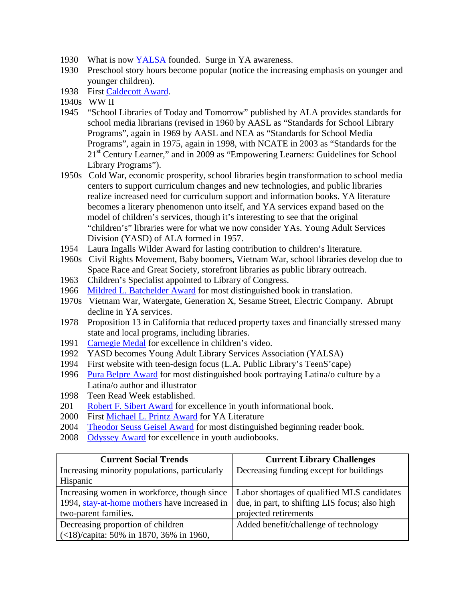- 1930 What is now [YALSA](http://www.ala.org/yalsa/) founded. Surge in YA awareness.
- 1930 Preschool story hours become popular (notice the increasing emphasis on younger and younger children).
- 1938 First [Caldecott Award.](http://www.ala.org/alsc/awardsgrants/bookmedia/caldecottmedal/caldecottmedal)
- 1940s WW II
- 1945 "School Libraries of Today and Tomorrow" published by ALA provides standards for school media librarians (revised in 1960 by AASL as "Standards for School Library Programs", again in 1969 by AASL and NEA as "Standards for School Media Programs", again in 1975, again in 1998, with NCATE in 2003 as "Standards for the 21<sup>st</sup> Century Learner," and in 2009 as "Empowering Learners: Guidelines for School Library Programs").
- 1950s Cold War, economic prosperity, school libraries begin transformation to school media centers to support curriculum changes and new technologies, and public libraries realize increased need for curriculum support and information books. YA literature becomes a literary phenomenon unto itself, and YA services expand based on the model of children's services, though it's interesting to see that the original "children's" libraries were for what we now consider YAs. Young Adult Services Division (YASD) of ALA formed in 1957.
- 1954 Laura Ingalls Wilder Award for lasting contribution to children's literature.
- 1960s Civil Rights Movement, Baby boomers, Vietnam War, school libraries develop due to Space Race and Great Society, storefront libraries as public library outreach.
- 1963 Children's Specialist appointed to Library of Congress.
- 1966 [Mildred L. Batchelder Award](http://www.ala.org/alsc/awardsgrants/bookmedia/batchelderaward) for most distinguished book in translation.
- 1970s Vietnam War, Watergate, Generation X, Sesame Street, Electric Company. Abrupt decline in YA services.
- 1978 Proposition 13 in California that reduced property taxes and financially stressed many state and local programs, including libraries.
- 1991 [Carnegie Medal](http://www.ala.org/alsc/awardsgrants/bookmedia/carnegiemedal) for excellence in children's video.
- 1992 YASD becomes Young Adult Library Services Association (YALSA)
- 1994 First website with teen-design focus (L.A. Public Library's TeenS'cape)
- 1996 [Pura Belpre Award](http://www.ala.org/alsc/awardsgrants/bookmedia/belpremedal) for most distinguished book portraying Latina/o culture by a Latina/o author and illustrator
- 1998 Teen Read Week established.
- 201 [Robert F. Sibert Award](http://www.ala.org/alsc/awardsgrants/bookmedia/sibertmedal) for excellence in youth informational book.
- 2000 First [Michael L. Printz Award](http://www.ala.org/yalsa/printz) for YA Literature
- 2004 [Theodor Seuss Geisel Award](http://www.ala.org/alsc/awardsgrants/bookmedia/geiselaward) for most distinguished beginning reader book.
- 2008 [Odyssey Award](http://www.ala.org/alsc/awardsgrants/bookmedia/odysseyaward) for excellence in youth audiobooks.

| <b>Current Social Trends</b>                                           | <b>Current Library Challenges</b>              |
|------------------------------------------------------------------------|------------------------------------------------|
| Increasing minority populations, particularly                          | Decreasing funding except for buildings        |
| Hispanic                                                               |                                                |
| Increasing women in workforce, though since                            | Labor shortages of qualified MLS candidates    |
| 1994, stay-at-home mothers have increased in                           | due, in part, to shifting LIS focus; also high |
| two-parent families.                                                   | projected retirements                          |
| Decreasing proportion of children                                      | Added benefit/challenge of technology          |
| $\left( \langle 18 \rangle \right)$ (capita: 50% in 1870, 36% in 1960, |                                                |